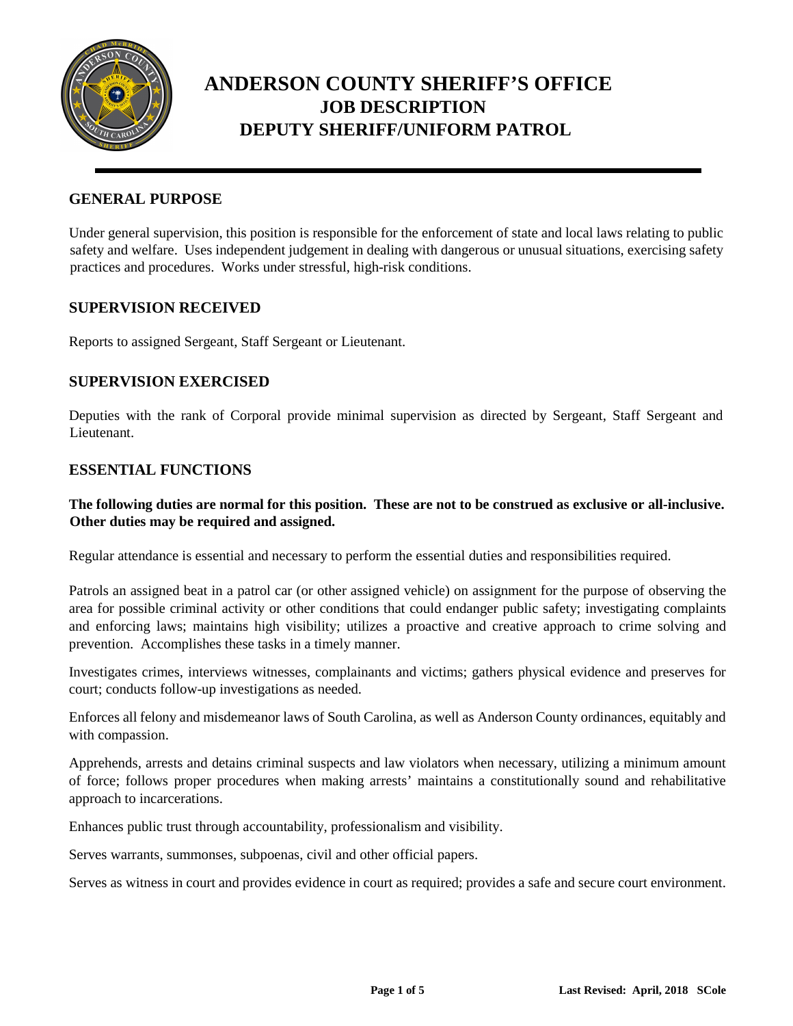

#### **GENERAL PURPOSE**

Under general supervision, this position is responsible for the enforcement of state and local laws relating to public safety and welfare. Uses independent judgement in dealing with dangerous or unusual situations, exercising safety practices and procedures. Works under stressful, high-risk conditions.

#### **SUPERVISION RECEIVED**

Reports to assigned Sergeant, Staff Sergeant or Lieutenant.

### **SUPERVISION EXERCISED**

Deputies with the rank of Corporal provide minimal supervision as directed by Sergeant, Staff Sergeant and Lieutenant.

### **ESSENTIAL FUNCTIONS**

#### **The following duties are normal for this position. These are not to be construed as exclusive or all-inclusive. Other duties may be required and assigned.**

Regular attendance is essential and necessary to perform the essential duties and responsibilities required.

Patrols an assigned beat in a patrol car (or other assigned vehicle) on assignment for the purpose of observing the area for possible criminal activity or other conditions that could endanger public safety; investigating complaints and enforcing laws; maintains high visibility; utilizes a proactive and creative approach to crime solving and prevention. Accomplishes these tasks in a timely manner.

Investigates crimes, interviews witnesses, complainants and victims; gathers physical evidence and preserves for court; conducts follow-up investigations as needed.

Enforces all felony and misdemeanor laws of South Carolina, as well as Anderson County ordinances, equitably and with compassion.

Apprehends, arrests and detains criminal suspects and law violators when necessary, utilizing a minimum amount of force; follows proper procedures when making arrests' maintains a constitutionally sound and rehabilitative approach to incarcerations.

Enhances public trust through accountability, professionalism and visibility.

Serves warrants, summonses, subpoenas, civil and other official papers.

Serves as witness in court and provides evidence in court as required; provides a safe and secure court environment.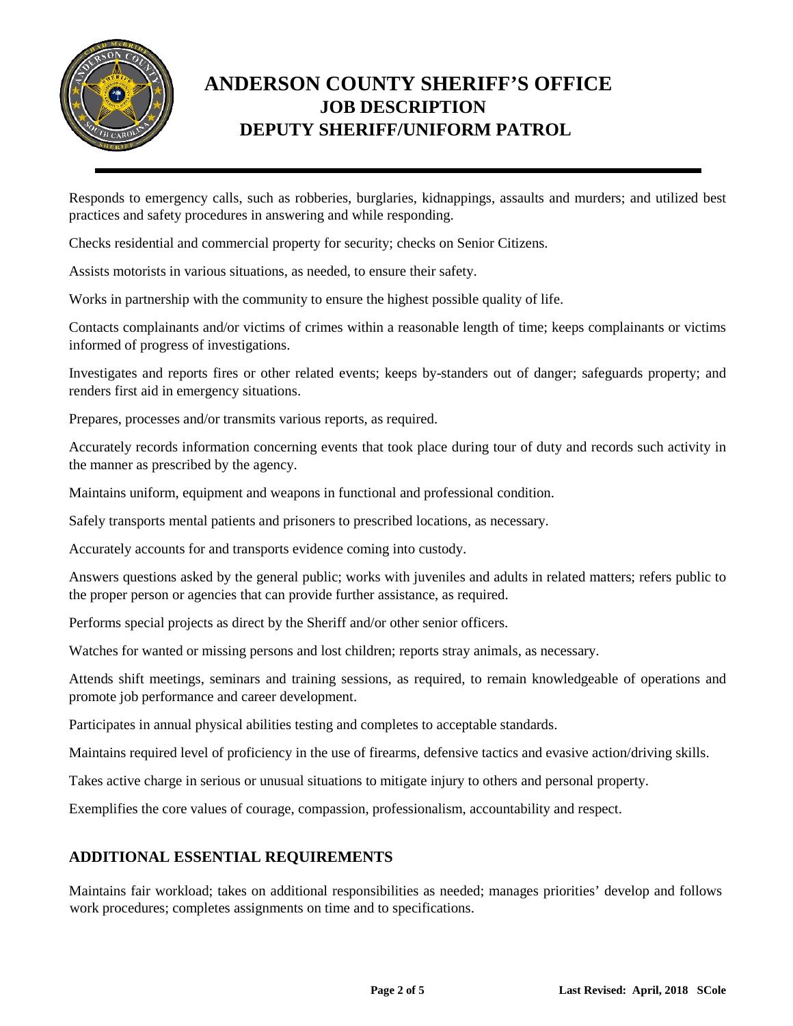

Responds to emergency calls, such as robberies, burglaries, kidnappings, assaults and murders; and utilized best practices and safety procedures in answering and while responding.

Checks residential and commercial property for security; checks on Senior Citizens.

Assists motorists in various situations, as needed, to ensure their safety.

Works in partnership with the community to ensure the highest possible quality of life.

Contacts complainants and/or victims of crimes within a reasonable length of time; keeps complainants or victims informed of progress of investigations.

Investigates and reports fires or other related events; keeps by-standers out of danger; safeguards property; and renders first aid in emergency situations.

Prepares, processes and/or transmits various reports, as required.

Accurately records information concerning events that took place during tour of duty and records such activity in the manner as prescribed by the agency.

Maintains uniform, equipment and weapons in functional and professional condition.

Safely transports mental patients and prisoners to prescribed locations, as necessary.

Accurately accounts for and transports evidence coming into custody.

Answers questions asked by the general public; works with juveniles and adults in related matters; refers public to the proper person or agencies that can provide further assistance, as required.

Performs special projects as direct by the Sheriff and/or other senior officers.

Watches for wanted or missing persons and lost children; reports stray animals, as necessary.

Attends shift meetings, seminars and training sessions, as required, to remain knowledgeable of operations and promote job performance and career development.

Participates in annual physical abilities testing and completes to acceptable standards.

Maintains required level of proficiency in the use of firearms, defensive tactics and evasive action/driving skills.

Takes active charge in serious or unusual situations to mitigate injury to others and personal property.

Exemplifies the core values of courage, compassion, professionalism, accountability and respect.

### **ADDITIONAL ESSENTIAL REQUIREMENTS**

Maintains fair workload; takes on additional responsibilities as needed; manages priorities' develop and follows work procedures; completes assignments on time and to specifications.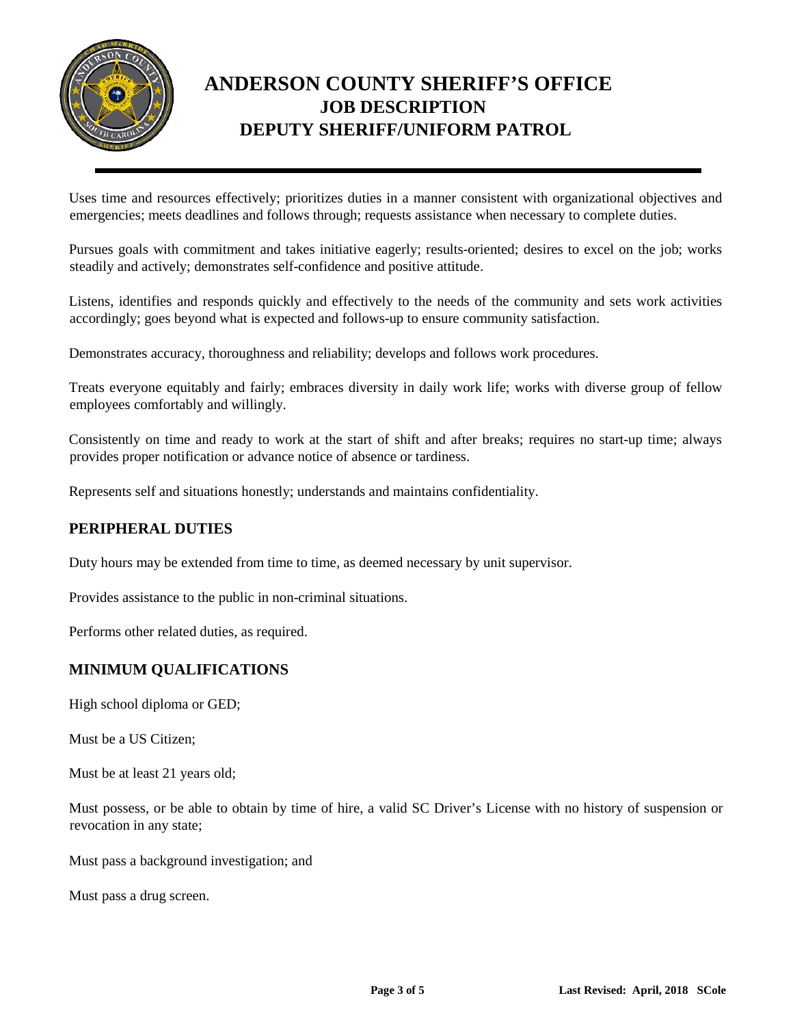

Uses time and resources effectively; prioritizes duties in a manner consistent with organizational objectives and emergencies; meets deadlines and follows through; requests assistance when necessary to complete duties.

Pursues goals with commitment and takes initiative eagerly; results-oriented; desires to excel on the job; works steadily and actively; demonstrates self-confidence and positive attitude.

Listens, identifies and responds quickly and effectively to the needs of the community and sets work activities accordingly; goes beyond what is expected and follows-up to ensure community satisfaction.

Demonstrates accuracy, thoroughness and reliability; develops and follows work procedures.

Treats everyone equitably and fairly; embraces diversity in daily work life; works with diverse group of fellow employees comfortably and willingly.

Consistently on time and ready to work at the start of shift and after breaks; requires no start-up time; always provides proper notification or advance notice of absence or tardiness.

Represents self and situations honestly; understands and maintains confidentiality.

### **PERIPHERAL DUTIES**

Duty hours may be extended from time to time, as deemed necessary by unit supervisor.

Provides assistance to the public in non-criminal situations.

Performs other related duties, as required.

### **MINIMUM QUALIFICATIONS**

High school diploma or GED;

Must be a US Citizen;

Must be at least 21 years old;

Must possess, or be able to obtain by time of hire, a valid SC Driver's License with no history of suspension or revocation in any state;

Must pass a background investigation; and

Must pass a drug screen.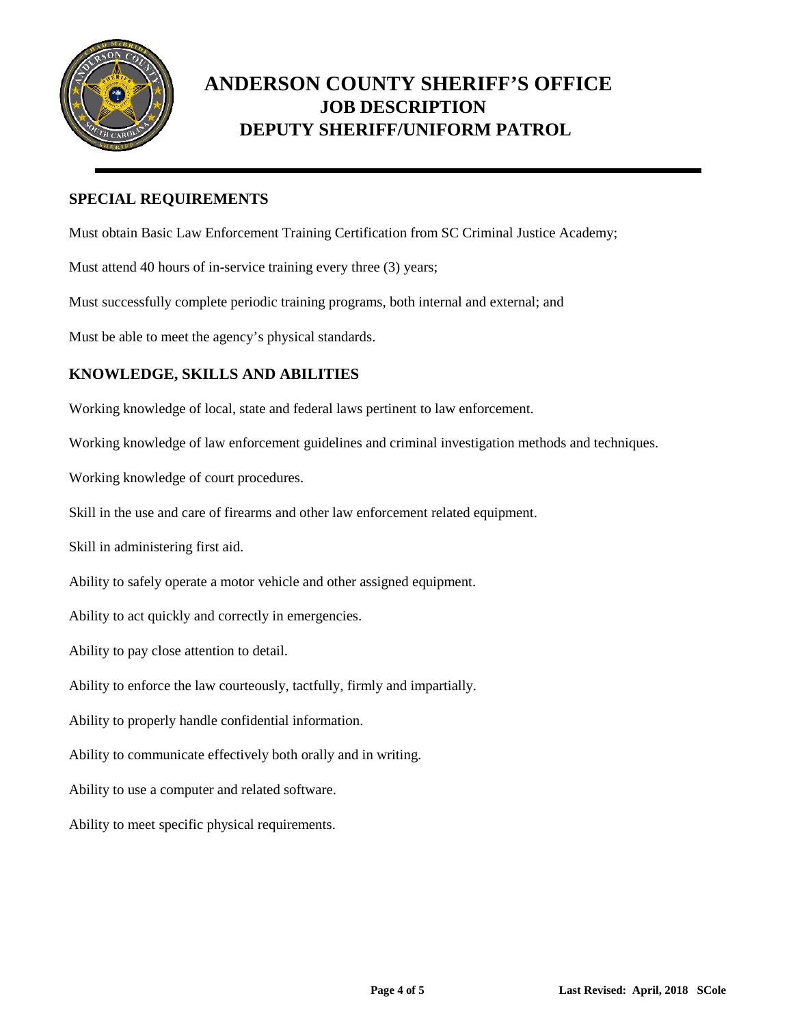

### **SPECIAL REQUIREMENTS**

Must obtain Basic Law Enforcement Training Certification from SC Criminal Justice Academy;

Must attend 40 hours of in-service training every three (3) years;

Must successfully complete periodic training programs, both internal and external; and

Must be able to meet the agency's physical standards.

### **KNOWLEDGE, SKILLS AND ABILITIES**

Working knowledge of local, state and federal laws pertinent to law enforcement.

Working knowledge of law enforcement guidelines and criminal investigation methods and techniques.

Working knowledge of court procedures.

Skill in the use and care of firearms and other law enforcement related equipment.

Skill in administering first aid.

Ability to safely operate a motor vehicle and other assigned equipment.

Ability to act quickly and correctly in emergencies.

Ability to pay close attention to detail.

Ability to enforce the law courteously, tactfully, firmly and impartially.

Ability to properly handle confidential information.

Ability to communicate effectively both orally and in writing.

Ability to use a computer and related software.

Ability to meet specific physical requirements.